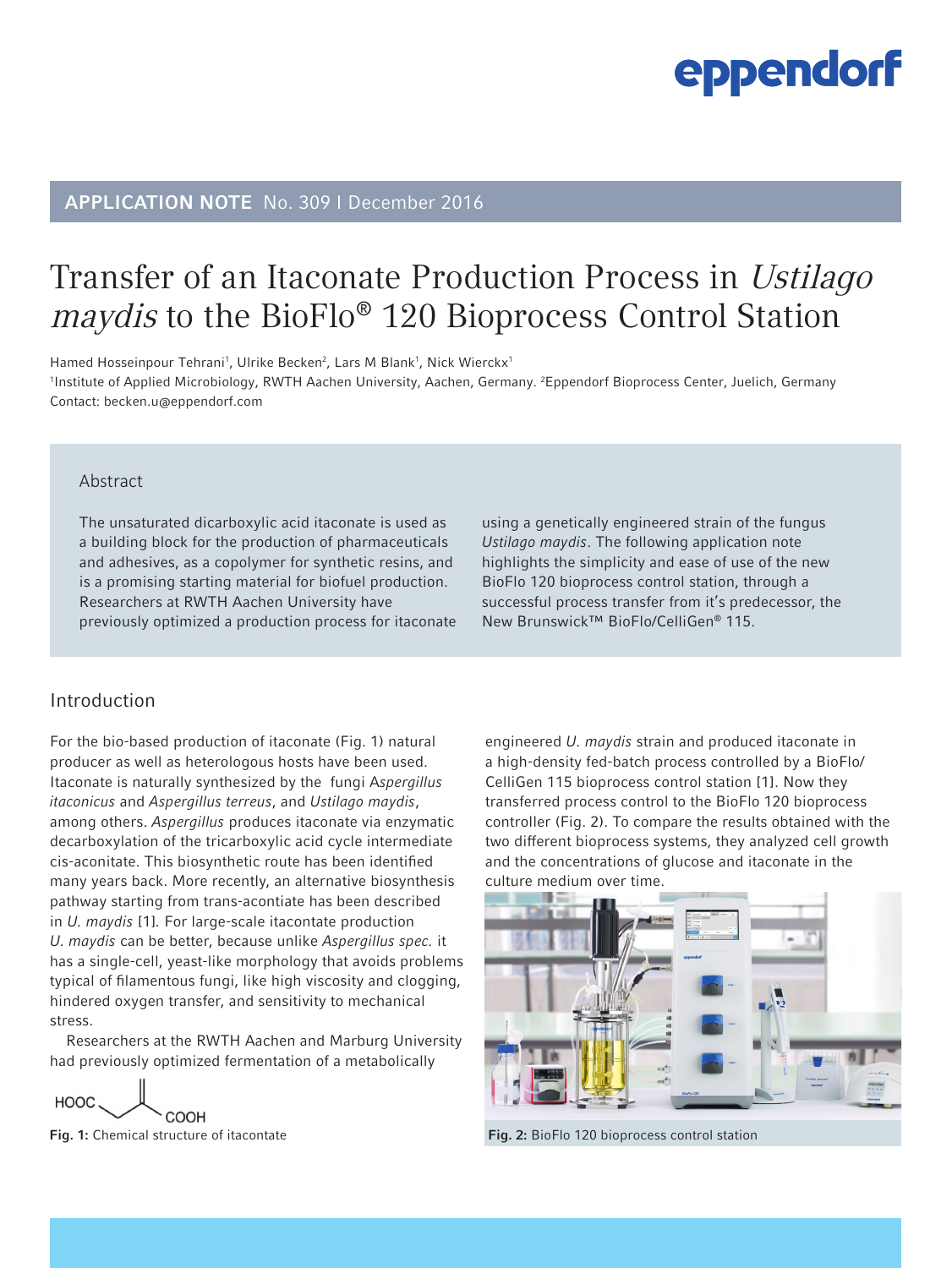## APPLICATION NOTE No. 309 I December 2016

# Transfer of an Itaconate Production Process in Ustilago maydis to the BioFlo® 120 Bioprocess Control Station

Hamed Hosseinpour Tehrani<sup>1</sup>, Ulrike Becken<sup>2</sup>, Lars M Blank<sup>1</sup>, Nick Wierckx<sup>1</sup> 1 Institute of Applied Microbiology, RWTH Aachen University, Aachen, Germany. 2 Eppendorf Bioprocess Center, Juelich, Germany Contact: becken.u@eppendorf.com

#### Abstract

The unsaturated dicarboxylic acid itaconate is used as a building block for the production of pharmaceuticals and adhesives, as a copolymer for synthetic resins, and is a promising starting material for biofuel production. Researchers at RWTH Aachen University have previously optimized a production process for itaconate

### Introduction

For the bio-based production of itaconate (Fig. 1) natural producer as well as heterologous hosts have been used. Itaconate is naturally synthesized by the fungi A*spergillus itaconicus* and *Aspergillus terreus*, and *Ustilago maydis*, among others. *Aspergillus* produces itaconate via enzymatic decarboxylation of the tricarboxylic acid cycle intermediate cis-aconitate. This biosynthetic route has been identified many years back. More recently, an alternative biosynthesis pathway starting from trans-acontiate has been described in *U. maydis* [1]*.* For large-scale itacontate production *U. maydis* can be better, because unlike *Aspergillus spec.* it has a single-cell, yeast-like morphology that avoids problems typical of filamentous fungi, like high viscosity and clogging, hindered oxygen transfer, and sensitivity to mechanical stress.

Researchers at the RWTH Aachen and Marburg University had previously optimized fermentation of a metabolically

HOOC. COOH

using a genetically engineered strain of the fungus *Ustilago maydis*. The following application note highlights the simplicity and ease of use of the new BioFlo 120 bioprocess control station, through a successful process transfer from it's predecessor, the New Brunswick™ BioFlo/CelliGen® 115.

engineered *U. maydis* strain and produced itaconate in a high-density fed-batch process controlled by a BioFlo/ CelliGen 115 bioprocess control station [1]. Now they transferred process control to the BioFlo 120 bioprocess controller (Fig. 2). To compare the results obtained with the two different bioprocess systems, they analyzed cell growth and the concentrations of glucose and itaconate in the culture medium over time.



Fig. 1: Chemical structure of itacontate Fig. 2: BioFlo 120 bioprocess control station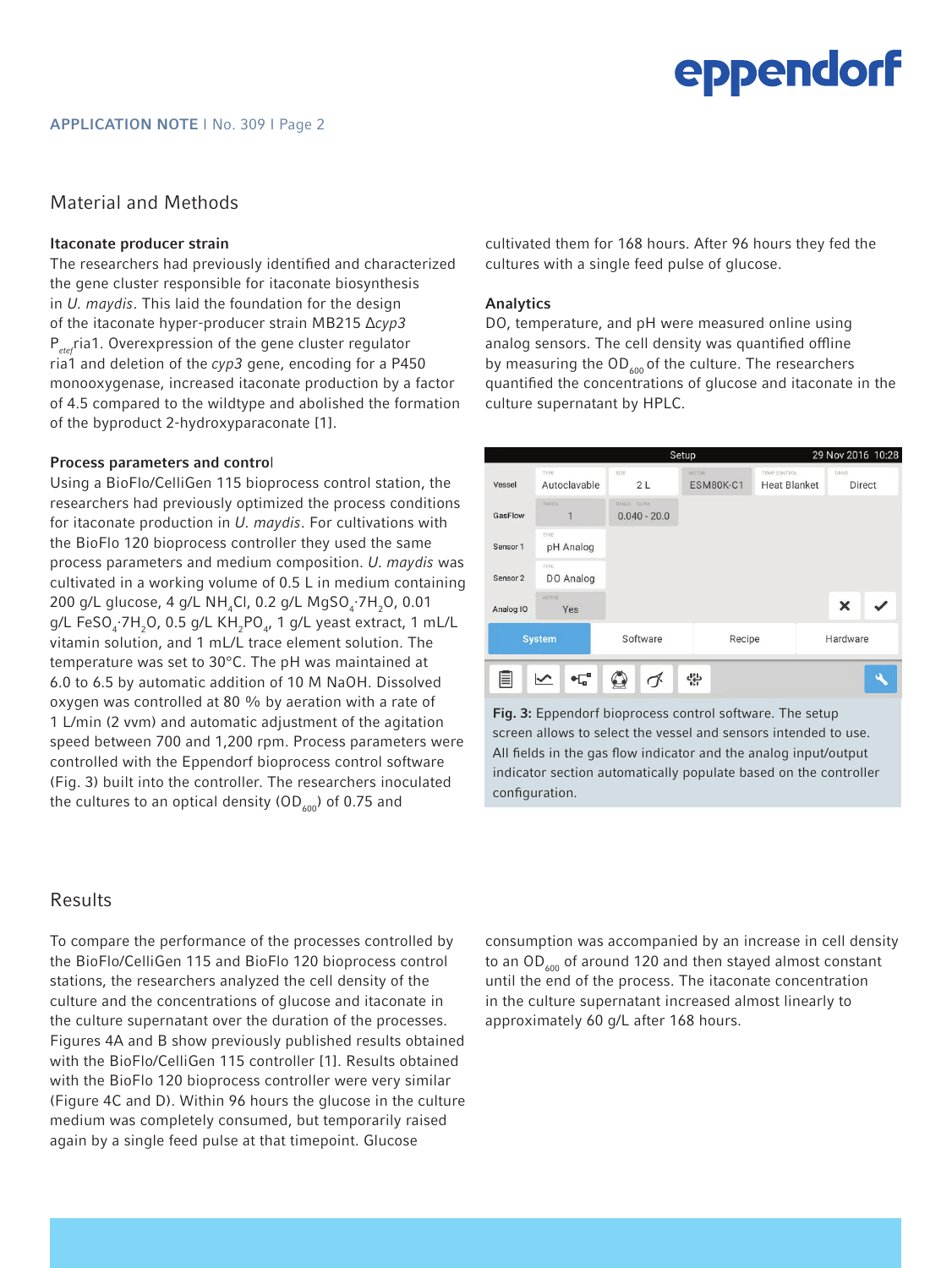### Material and Methods

#### Itaconate producer strain

The researchers had previously identified and characterized the gene cluster responsible for itaconate biosynthesis in *U. maydis*. This laid the foundation for the design of the itaconate hyper-producer strain MB215 Δ*cyp3* P*etef*ria1. Overexpression of the gene cluster regulator ria1 and deletion of the *cyp3* gene, encoding for a P450 monooxygenase, increased itaconate production by a factor of 4.5 compared to the wildtype and abolished the formation of the byproduct 2-hydroxyparaconate [1].

#### Process parameters and control

Using a BioFlo/CelliGen 115 bioprocess control station, the researchers had previously optimized the process conditions for itaconate production in *U. maydis*. For cultivations with the BioFlo 120 bioprocess controller they used the same process parameters and medium composition. *U. maydis* was cultivated in a working volume of 0.5 L in medium containing 200 g/L glucose, 4 g/L NH<sub>4</sub>Cl, 0.2 g/L MgSO<sub>4</sub>·7H<sub>2</sub>O, 0.01 g/L FeSO<sub>4</sub>∙7H<sub>2</sub>O, 0.5 g/L KH<sub>2</sub>PO<sub>4</sub>, 1 g/L yeast extract, 1 mL/L vitamin solution, and 1 mL/L trace element solution. The temperature was set to 30°C. The pH was maintained at 6.0 to 6.5 by automatic addition of 10 M NaOH. Dissolved oxygen was controlled at 80 % by aeration with a rate of 1 L/min (2 vvm) and automatic adjustment of the agitation speed between 700 and 1,200 rpm. Process parameters were controlled with the Eppendorf bioprocess control software (Fig. 3) built into the controller. The researchers inoculated the cultures to an optical density (OD $_{600}$ ) of 0.75 and

Results

To compare the performance of the processes controlled by the BioFlo/CelliGen 115 and BioFlo 120 bioprocess control stations, the researchers analyzed the cell density of the culture and the concentrations of glucose and itaconate in the culture supernatant over the duration of the processes. Figures 4A and B show previously published results obtained with the BioFlo/CelliGen 115 controller [1]. Results obtained with the BioFlo 120 bioprocess controller were very similar (Figure 4C and D). Within 96 hours the glucose in the culture medium was completely consumed, but temporarily raised again by a single feed pulse at that timepoint. Glucose

cultivated them for 168 hours. After 96 hours they fed the cultures with a single feed pulse of glucose.

#### Analytics

DO, temperature, and pH were measured online using analog sensors. The cell density was quantified offline by measuring the  $OD_{600}$  of the culture. The researchers quantified the concentrations of glucose and itaconate in the culture supernatant by HPLC.

|                                                                   |                          | Setup                        |                    | 29 Nov 2016 10:28                   |                           |  |
|-------------------------------------------------------------------|--------------------------|------------------------------|--------------------|-------------------------------------|---------------------------|--|
| Vessel                                                            | TYPE<br>Autoclavable     | SIZE<br>2L                   | MOTOR<br>ESM80K-C1 | TEMP CONTROL<br><b>Heat Blanket</b> | DRIVE<br>Direct           |  |
| GasFlow                                                           | <b>TMFCS</b><br>1        | RANGE SEPM<br>$0.040 - 20.0$ |                    |                                     |                           |  |
| Sensor 1                                                          | <b>TYPE</b><br>pH Analog |                              |                    |                                     |                           |  |
| Sensor <sub>2</sub>                                               | <b>TYPE</b><br>DO Analog |                              |                    |                                     |                           |  |
| Analog IO                                                         | ACTIVE<br>Yes            |                              |                    |                                     | $\boldsymbol{\mathsf{x}}$ |  |
| <b>System</b>                                                     |                          | Software                     | Recipe             |                                     | Hardware                  |  |
| 뿦<br>$\bullet$ $\overline{\mathbb{L}}_{a}^{a}$<br>$\backsim$<br>ブ |                          |                              |                    |                                     |                           |  |

Fig. 3: Eppendorf bioprocess control software. The setup screen allows to select the vessel and sensors intended to use. All fields in the gas flow indicator and the analog input/output indicator section automatically populate based on the controller configuration.

consumption was accompanied by an increase in cell density to an  $OD_{600}$  of around 120 and then stayed almost constant until the end of the process. The itaconate concentration in the culture supernatant increased almost linearly to approximately 60 g/L after 168 hours.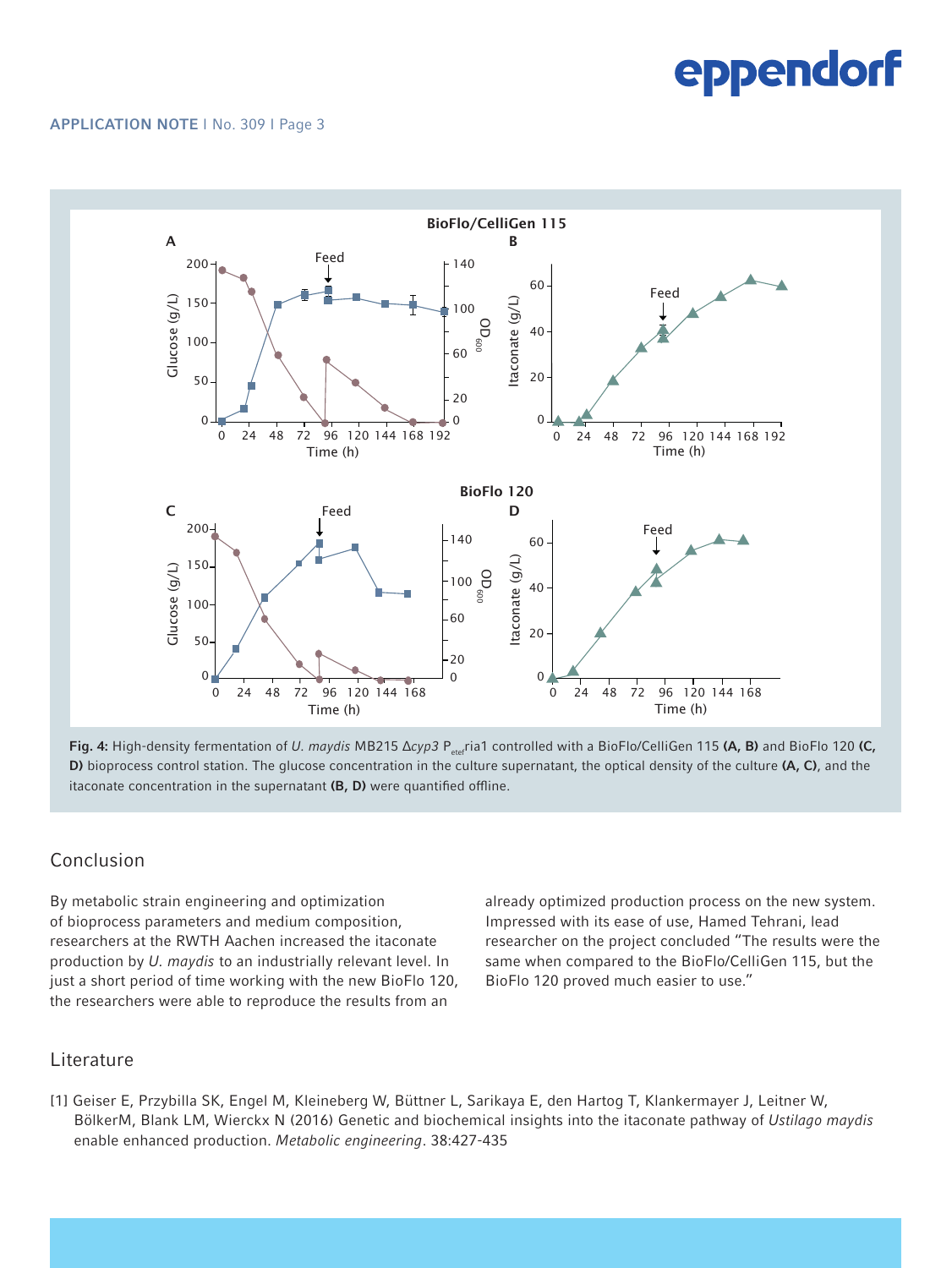#### APPLICATION NOTE I No. 309 I Page 3



Fig. 4: High-density fermentation of *U. maydis* MB215 Δcyp3 P<sub>etef</sub>ria1 controlled with a BioFlo/CelliGen 115 (A, B) and BioFlo 120 (C, D) bioprocess control station. The glucose concentration in the culture supernatant, the optical density of the culture (A, C), and the itaconate concentration in the supernatant (B, D) were quantified offline.

### Conclusion

By metabolic strain engineering and optimization of bioprocess parameters and medium composition, researchers at the RWTH Aachen increased the itaconate production by *U. maydis* to an industrially relevant level. In just a short period of time working with the new BioFlo 120, the researchers were able to reproduce the results from an

already optimized production process on the new system. Impressed with its ease of use, Hamed Tehrani, lead researcher on the project concluded "The results were the same when compared to the BioFlo/CelliGen 115, but the BioFlo 120 proved much easier to use."

### Literature

[1] Geiser E, Przybilla SK, Engel M, Kleineberg W, Büttner L, Sarikaya E, den Hartog T, Klankermayer J, Leitner W, BölkerM, Blank LM, Wierckx N (2016) Genetic and biochemical insights into the itaconate pathway of *Ustilago maydis* enable enhanced production. *Metabolic engineering*. 38:427-435